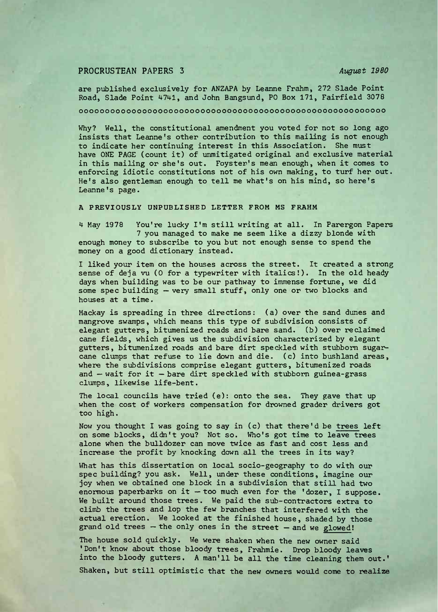## PROCRUSTEAN PAPERS <sup>3</sup> *August 1980*

are published exclusively for ANZAPA by Leanne Frahm, 272 Slade Point Road, Slade Point 4741, and John Bangsund, PO Box 171, Fairfield 3078

oooooooooooooooooooooooooooooooooooooooooooooooooooooooooo

Why? Well, the constitutional amendment you voted for not so long ago insists that Leanne's other contribution to this mailing is not enough to indicate her continuing interest in this Association. She must have ONE PAGE (count it) of unmitigated original and exclusive material in this mailing or she's out. Foyster's mean enough, when it comes to enforcing idiotic constitutions not of his own making, to turf her out. He's also gentleman enough to tell me what's on his mind, so here's Leanne's page.

## **A PREVIOUSLY UNPUBLISHED LETTER FROM MS FRAHM**

<sup>4</sup> May <sup>1978</sup> You're lucky I'm still writing at all. In Parergon Papers <sup>7</sup> you managed to make me seem like a dizzy blonde with enough money to subscribe to you but not enough sense to spend the money on a good dictionary instead.

I liked your item on the houses across the street. It created a strong sense of deja vu (0 for a typewriter with italics!). In the old heady days when building was to be our pathway to immense fortune, we did some spec building — very small stuff, only one or two blocks and houses at a time.

Mackay is spreading in three directions: (a) over the sand dunes and mangrove swamps, which means this type of subdivision consists of elegant gutters, bitumenized roads and bare sand, (b) over reclaimed cane fields, which gives us the subdivision characterized by elegant gutters, bitumenized roads and bare dirt speckled with stubborn sugarcane clumps that refuse to lie down and die. (c) into bushland areas, where the subdivisions comprise elegant gutters, bitumenized roads and — wait for it — bare dirt speckled with stubborn guinea-grass clumps, likewise life-bent.

The local councils have tried (e): onto the sea. They gave that up when the cost of workers compensation for drowned grader drivers got too high.

Now you thought I was going to say in (c) that there'<sup>d</sup> be trees left on some blocks, didn't you? Not so. Who's got time to leave trees alone when the bulldozer can move twice as fast and cost less and increase the profit by knocking down all the trees in its way?

What has this dissertation on local sooio-geography to do with our spec building? you ask. Well, under these conditions, imagine our joy when we obtained one block in <sup>a</sup> subdivision that still had two enormous paperbarks on it — too much even for the 'dozer, I suppose. We built around those trees. We paid the sub-contractors extra to climb the trees and lop the few branches that interfered with the actual erection. We looked at the finished house, shaded by those grand old trees — the only ones in the street — and we glowed!

The house sold quickly. We were shaken when the new owner said 'Don't know about those bloody trees, Frahmie. Drop bloody leaves into the bloody gutters. <sup>A</sup> man'll be all the time cleaning them out.' Shaken, but still optimistic that the new owners would come to realize